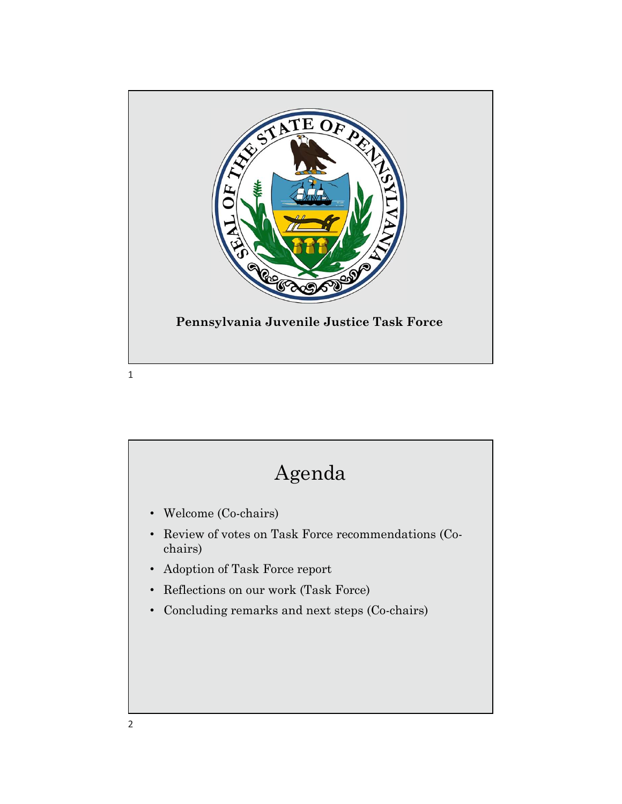

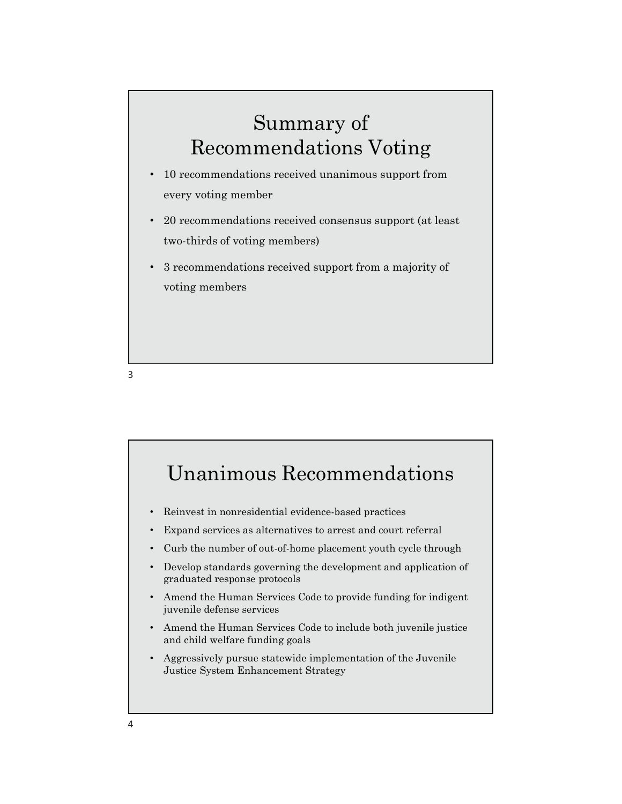## Summary of Recommendations Voting

- 10 recommendations received unanimous support from every voting member
- 20 recommendations received consensus support (at least two-thirds of voting members)
- 3 recommendations received support from a majority of voting members

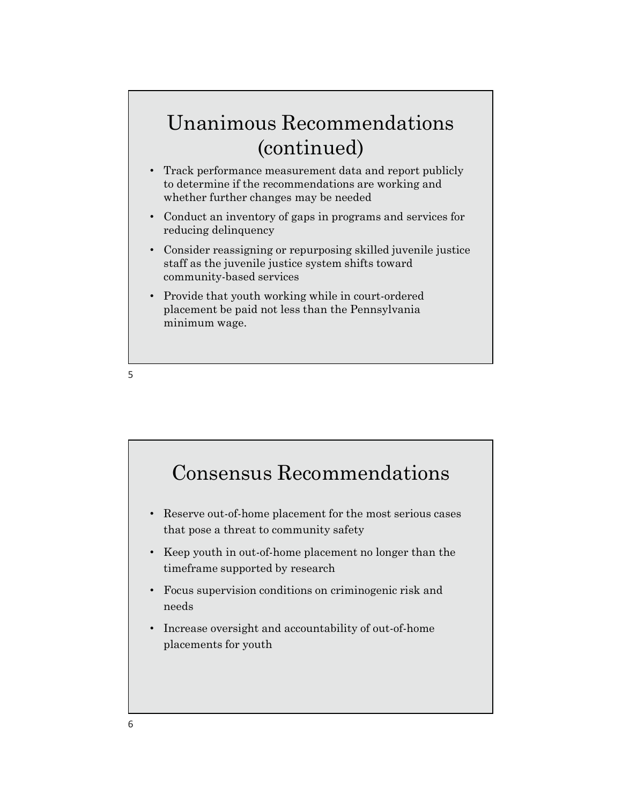## Unanimous Recommendations (continued)

- Track performance measurement data and report publicly to determine if the recommendations are working and whether further changes may be needed
- Conduct an inventory of gaps in programs and services for reducing delinquency
- Consider reassigning or repurposing skilled juvenile justice staff as the juvenile justice system shifts toward community-based services
- Provide that youth working while in court-ordered placement be paid not less than the Pennsylvania minimum wage.

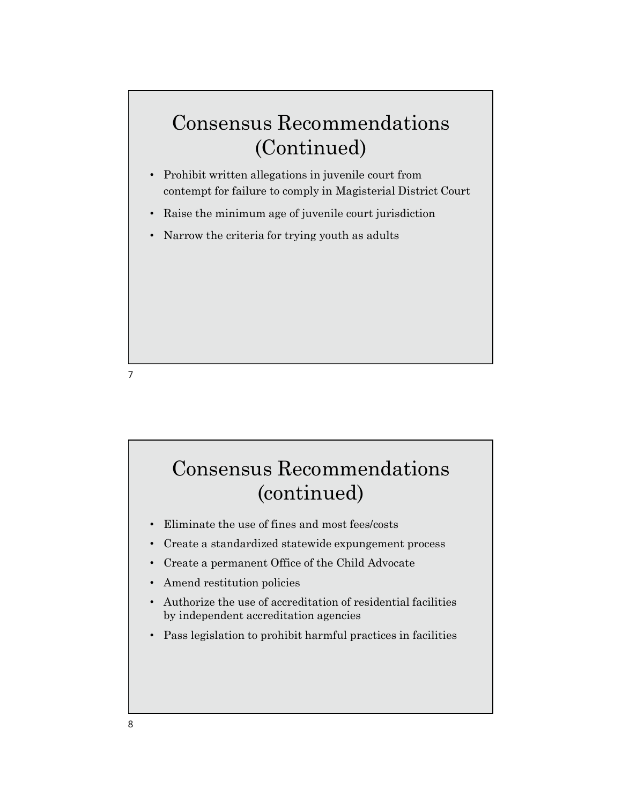## Consensus Recommendations (Continued)

- Prohibit written allegations in juvenile court from contempt for failure to comply in Magisterial District Court
- Raise the minimum age of juvenile court jurisdiction
- Narrow the criteria for trying youth as adults

7

# • Eliminate the use of fines and most fees/costs • Create a standardized statewide expungement process • Create a permanent Office of the Child Advocate • Amend restitution policies • Authorize the use of accreditation of residential facilities by independent accreditation agencies • Pass legislation to prohibit harmful practices in facilities Consensus Recommendations (continued)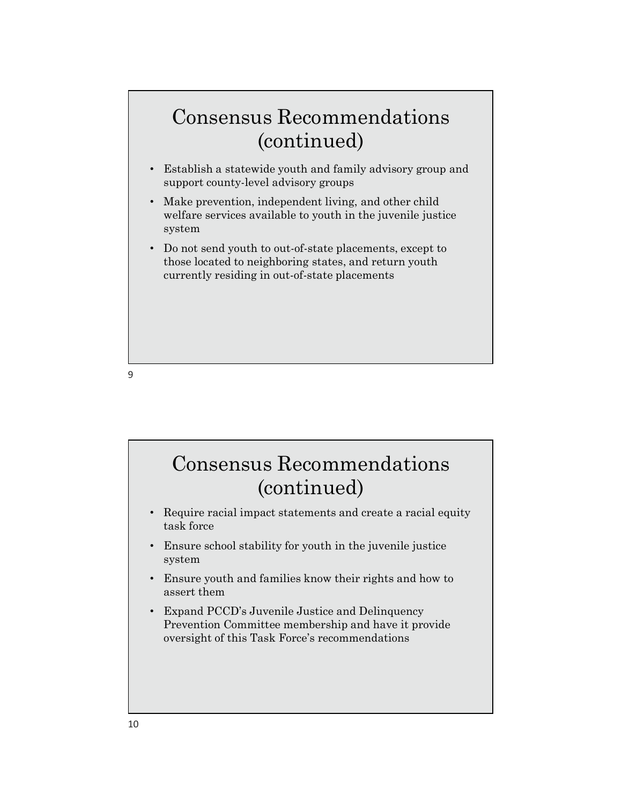#### Consensus Recommendations (continued)

- Establish a statewide youth and family advisory group and support county-level advisory groups
- Make prevention, independent living, and other child welfare services available to youth in the juvenile justice system
- Do not send youth to out-of-state placements, except to those located to neighboring states, and return youth currently residing in out-of-state placements

9

## • Require racial impact statements and create a racial equity task force • Ensure school stability for youth in the juvenile justice system • Ensure youth and families know their rights and how to assert them • Expand PCCD's Juvenile Justice and Delinquency Prevention Committee membership and have it provide oversight of this Task Force's recommendations Consensus Recommendations (continued)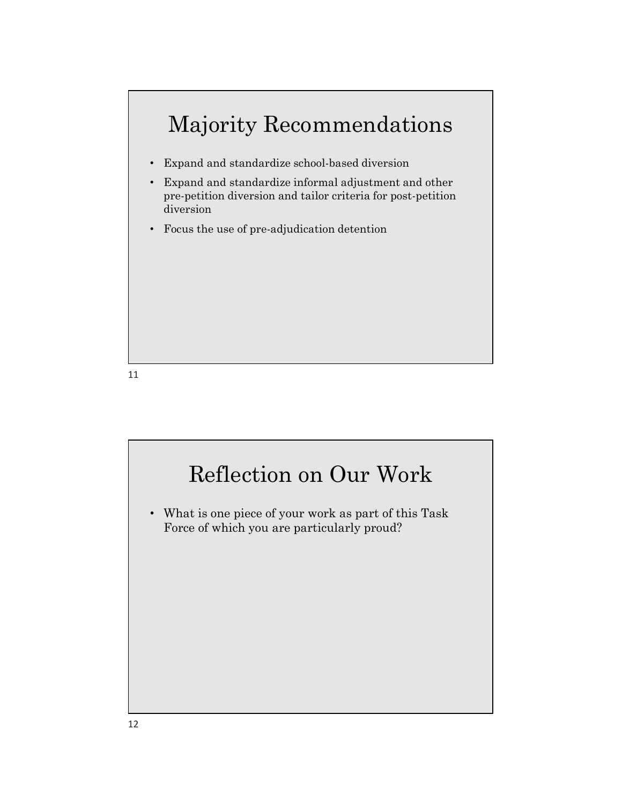

- Expand and standardize school-based diversion
- Expand and standardize informal adjustment and other pre-petition diversion and tailor criteria for post-petition diversion
- Focus the use of pre-adjudication detention